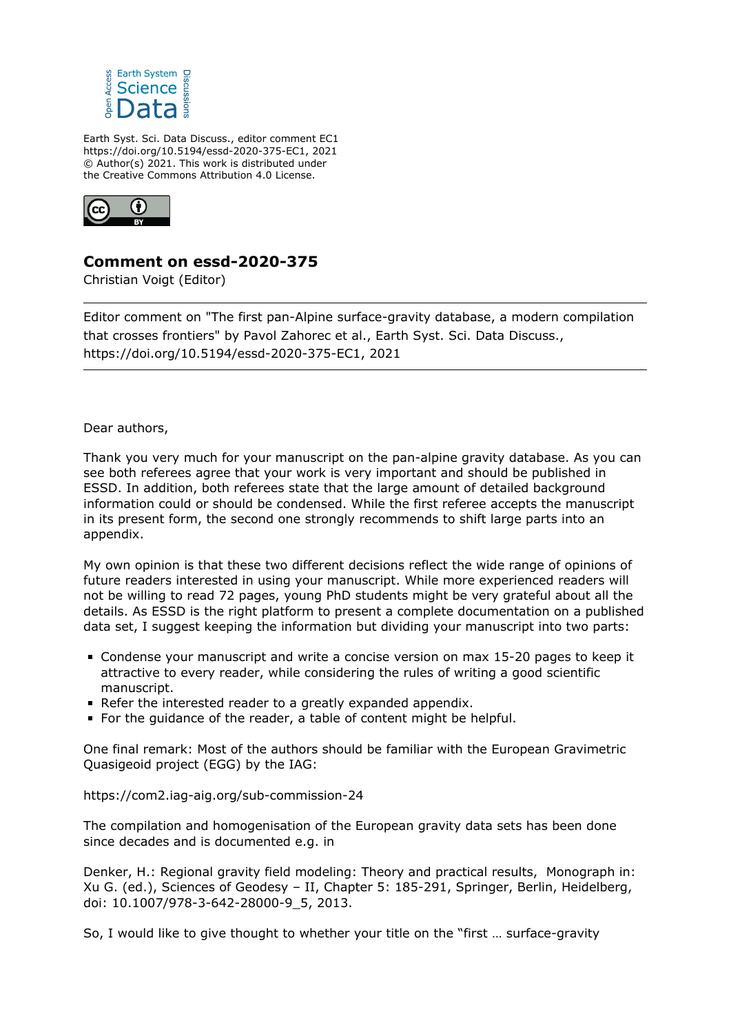

Earth Syst. Sci. Data Discuss., editor comment EC1 https://doi.org/10.5194/essd-2020-375-EC1, 2021 © Author(s) 2021. This work is distributed under the Creative Commons Attribution 4.0 License.



## **Comment on essd-2020-375**

Christian Voigt (Editor)

Editor comment on "The first pan-Alpine surface-gravity database, a modern compilation that crosses frontiers" by Pavol Zahorec et al., Earth Syst. Sci. Data Discuss., https://doi.org/10.5194/essd-2020-375-EC1, 2021

## Dear authors,

Thank you very much for your manuscript on the pan-alpine gravity database. As you can see both referees agree that your work is very important and should be published in ESSD. In addition, both referees state that the large amount of detailed background information could or should be condensed. While the first referee accepts the manuscript in its present form, the second one strongly recommends to shift large parts into an appendix.

My own opinion is that these two different decisions reflect the wide range of opinions of future readers interested in using your manuscript. While more experienced readers will not be willing to read 72 pages, young PhD students might be very grateful about all the details. As ESSD is the right platform to present a complete documentation on a published data set, I suggest keeping the information but dividing your manuscript into two parts:

- Condense your manuscript and write a concise version on max 15-20 pages to keep it attractive to every reader, while considering the rules of writing a good scientific manuscript.
- Refer the interested reader to a greatly expanded appendix.
- For the quidance of the reader, a table of content might be helpful.

One final remark: Most of the authors should be familiar with the European Gravimetric Quasigeoid project (EGG) by the IAG:

## https://com2.iag-aig.org/sub-commission-24

The compilation and homogenisation of the European gravity data sets has been done since decades and is documented e.g. in

Denker, H.: Regional gravity field modeling: Theory and practical results, Monograph in: Xu G. (ed.), Sciences of Geodesy – II, Chapter 5: 185-291, Springer, Berlin, Heidelberg, doi: 10.1007/978-3-642-28000-9\_5, 2013.

So, I would like to give thought to whether your title on the "first … surface-gravity